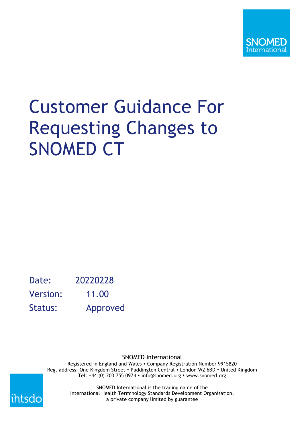

# Customer Guidance For Requesting Changes to SNOMED CT

Date: 20220228 Version: 11.00 Status: Approved

> SNOMED International Registered in England and Wales • Company Registration Number 9915820 Reg. address: One Kingdom Street • Paddington Central • London W2 6BD • United Kingdom Tel: +44 (0) 203 755 0974  $\cdot$  info@snomed.org  $\cdot$  www.snomed.org



SNOMED International is the trading name of the International Health Terminology Standards Development Organisation, a private company limited by guarantee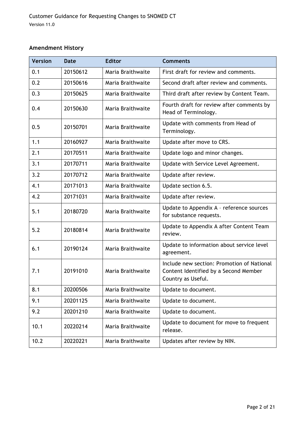#### **Amendment History**

| <b>Version</b> | Date     | <b>Editor</b>     | <b>Comments</b>                                                                                           |
|----------------|----------|-------------------|-----------------------------------------------------------------------------------------------------------|
| 0.1            | 20150612 | Maria Braithwaite | First draft for review and comments.                                                                      |
| 0.2            | 20150616 | Maria Braithwaite | Second draft after review and comments.                                                                   |
| 0.3            | 20150625 | Maria Braithwaite | Third draft after review by Content Team.                                                                 |
| 0.4            | 20150630 | Maria Braithwaite | Fourth draft for review after comments by<br>Head of Terminology.                                         |
| 0.5            | 20150701 | Maria Braithwaite | Update with comments from Head of<br>Terminology.                                                         |
| 1.1            | 20160927 | Maria Braithwaite | Update after move to CRS.                                                                                 |
| 2.1            | 20170511 | Maria Braithwaite | Update logo and minor changes.                                                                            |
| 3.1            | 20170711 | Maria Braithwaite | Update with Service Level Agreement.                                                                      |
| 3.2            | 20170712 | Maria Braithwaite | Update after review.                                                                                      |
| 4.1            | 20171013 | Maria Braithwaite | Update section 6.5.                                                                                       |
| 4.2            | 20171031 | Maria Braithwaite | Update after review.                                                                                      |
| 5.1            | 20180720 | Maria Braithwaite | Update to Appendix A - reference sources<br>for substance requests.                                       |
| 5.2            | 20180814 | Maria Braithwaite | Update to Appendix A after Content Team<br>review.                                                        |
| 6.1            | 20190124 | Maria Braithwaite | Update to information about service level<br>agreement.                                                   |
| 7.1            | 20191010 | Maria Braithwaite | Include new section: Promotion of National<br>Content Identified by a Second Member<br>Country as Useful. |
| 8.1            | 20200506 | Maria Braithwaite | Update to document.                                                                                       |
| 9.1            | 20201125 | Maria Braithwaite | Update to document.                                                                                       |
| 9.2            | 20201210 | Maria Braithwaite | Update to document.                                                                                       |
| 10.1           | 20220214 | Maria Braithwaite | Update to document for move to frequent<br>release.                                                       |
| 10.2           | 20220221 | Maria Braithwaite | Updates after review by NIN.                                                                              |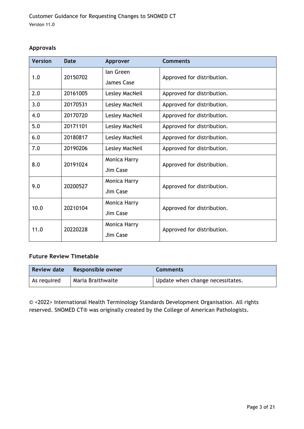#### **Approvals**

| <b>Version</b> | <b>Date</b> | Approver       | <b>Comments</b>            |
|----------------|-------------|----------------|----------------------------|
| 1.0            | 20150702    | lan Green      | Approved for distribution. |
|                |             | James Case     |                            |
| 2.0            | 20161005    | Lesley MacNeil | Approved for distribution. |
| 3.0            | 20170531    | Lesley MacNeil | Approved for distribution. |
| 4.0            | 20170720    | Lesley MacNeil | Approved for distribution. |
| 5.0            | 20171101    | Lesley MacNeil | Approved for distribution. |
| 6.0            | 20180817    | Lesley MacNeil | Approved for distribution. |
| 7.0            | 20190206    | Lesley MacNeil | Approved for distribution. |
| 8.0            | 20191024    | Monica Harry   | Approved for distribution. |
|                |             | Jim Case       |                            |
| 9.0            | 20200527    | Monica Harry   | Approved for distribution. |
|                |             | Jim Case       |                            |
| 10.0           | 20210104    | Monica Harry   | Approved for distribution. |
|                |             | Jim Case       |                            |
| 11.0           | 20220228    | Monica Harry   | Approved for distribution. |
|                |             | Jim Case       |                            |

#### **Future Review Timetable**

| <b>Review date</b> | Responsible owner | <b>Comments</b>                  |
|--------------------|-------------------|----------------------------------|
| As required        | Maria Braithwaite | Update when change necessitates. |

© <2022> International Health Terminology Standards Development Organisation. All rights reserved. SNOMED CT® was originally created by the College of American Pathologists.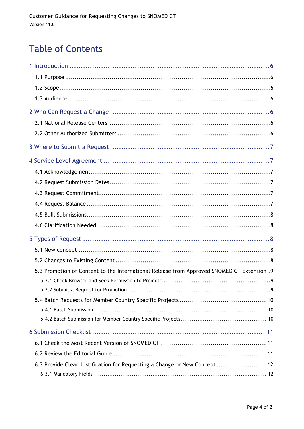# **Table of Contents**

| 5.3 Promotion of Content to the International Release from Approved SNOMED CT Extension .9 |  |
|--------------------------------------------------------------------------------------------|--|
|                                                                                            |  |
|                                                                                            |  |
|                                                                                            |  |
|                                                                                            |  |
|                                                                                            |  |
|                                                                                            |  |
|                                                                                            |  |
|                                                                                            |  |
| 6.3 Provide Clear Justification for Requesting a Change or New Concept  12                 |  |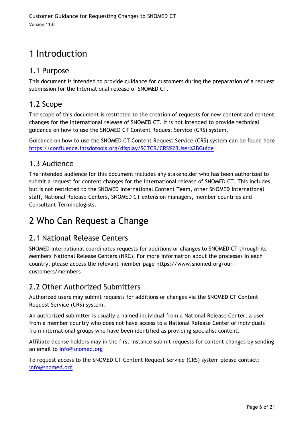# 1 Introduction

#### 1.1 Purpose

This document is intended to provide guidance for customers during the preparation of a request submission for the International release of SNOMED CT.

#### 1.2 Scope

The scope of this document is restricted to the creation of requests for new content and content changes for the International release of SNOMED CT. It is not intended to provide technical guidance on how to use the SNOMED CT Content Request Service (CRS) system.

Guidance on how to use the SNOMED CT Content Request Service (CRS) system can be found here https://confluence.ihtsdotools.org/display/SCTCR/CRS%2BUser%2BGuide

#### 1.3 Audience

The intended audience for this document includes any stakeholder who has been authorized to submit a request for content changes for the International release of SNOMED CT. This includes, but is not restricted to the SNOMED International Content Team, other SNOMED International staff, National Release Centers, SNOMED CT extension managers, member countries and Consultant Terminologists.

# 2 Who Can Request a Change

### 2.1 National Release Centers

SNOMED International coordinates requests for additions or changes to SNOMED CT through its Members' National Release Centers (NRC). For more information about the processes in each country, please access the relevant member page https://www.snomed.org/ourcustomers/members

#### 2.2 Other Authorized Submitters

Authorized users may submit requests for additions or changes via the SNOMED CT Content Request Service (CRS) system.

An authorized submitter is usually a named individual from a National Release Center, a user from a member country who does not have access to a National Release Center or individuals from international groups who have been identified as providing specialist content.

Affiliate license holders may in the first instance submit requests for content changes by sending an email to info@snomed.org

To request access to the SNOMED CT Content Request Service (CRS) system please contact: info@snomed.org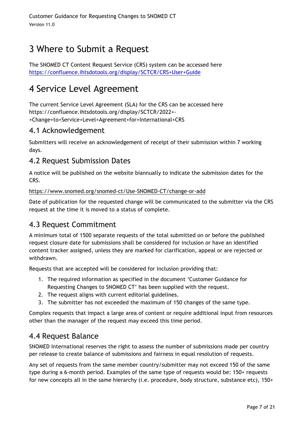# 3 Where to Submit a Request

The SNOMED CT Content Request Service (CRS) system can be accessed here https://confluence.ihtsdotools.org/display/SCTCR/CRS+User+Guide

# 4 Service Level Agreement

The current Service Level Agreement (SLA) for the CRS can be accessed here https://confluence.ihtsdotools.org/display/SCTCR/2022+- +Change+to+Service+Level+Agreement+for+International+CRS

#### 4.1 Acknowledgement

Submitters will receive an acknowledgement of receipt of their submission within 7 working days.

#### 4.2 Request Submission Dates

A notice will be published on the website biannually to indicate the submission dates for the CRS.

https://www.snomed.org/snomed-ct/Use-SNOMED-CT/change-or-add

Date of publication for the requested change will be communicated to the submitter via the CRS request at the time it is moved to a status of complete.

#### 4.3 Request Commitment

A minimum total of 1500 separate requests of the total submitted on or before the published request closure date for submissions shall be considered for inclusion or have an identified content tracker assigned, unless they are marked for clarification, appeal or are rejected or withdrawn.

Requests that are accepted will be considered for inclusion providing that:

- 1. The required information as specified in the document 'Customer Guidance for Requesting Changes to SNOMED CT' has been supplied with the request.
- 2. The request aligns with current editorial guidelines.
- 3. The submitter has not exceeded the maximum of 150 changes of the same type.

Complex requests that impact a large area of content or require additional input from resources other than the manager of the request may exceed this time period.

#### 4.4 Request Balance

SNOMED International reserves the right to assess the number of submissions made per country per release to create balance of submissions and fairness in equal resolution of requests.

Any set of requests from the same member country/submitter may not exceed 150 of the same type during a 6-month period. Examples of the same type of requests would be: 150+ requests for new concepts all in the same hierarchy (i.e. procedure, body structure, substance etc), 150+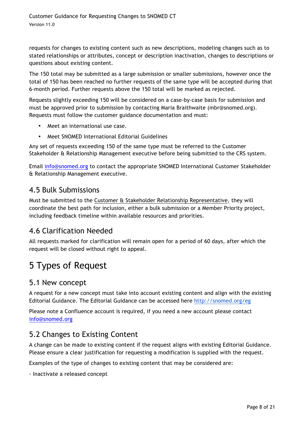requests for changes to existing content such as new descriptions, modeling changes such as to stated relationships or attributes, concept or description inactivation, changes to descriptions or questions about existing content.

The 150 total may be submitted as a large submission or smaller submissions, however once the total of 150 has been reached no further requests of the same type will be accepted during that 6-month period. Further requests above the 150 total will be marked as rejected.

Requests slightly exceeding 150 will be considered on a case-by-case basis for submission and must be approved prior to submission by contacting Maria Braithwaite (mbr@snomed.org). Requests must follow the customer guidance documentation and must:

- Meet an international use case.
- Meet SNOMED International Editorial Guidelines

Any set of requests exceeding 150 of the same type must be referred to the Customer Stakeholder & Relationship Management executive before being submitted to the CRS system.

Email info@snomed.org to contact the appropriate SNOMED International Customer Stakeholder & Relationship Management executive.

#### 4.5 Bulk Submissions

Must be submitted to the Customer & Stakeholder Relationship Representative, they will coordinate the best path for inclusion, either a bulk submission or a Member Priority project, including feedback timeline within available resources and priorities.

#### 4.6 Clarification Needed

All requests marked for clarification will remain open for a period of 60 days, after which the request will be closed without right to appeal.

# 5 Types of Request

#### 5.1 New concept

A request for a new concept must take into account existing content and align with the existing Editorial Guidance. The Editorial Guidance can be accessed here http://snomed.org/eg

Please note a Confluence account is required, if you need a new account please contact info@snomed.org

#### 5.2 Changes to Existing Content

A change can be made to existing content if the request aligns with existing Editorial Guidance. Please ensure a clear justification for requesting a modification is supplied with the request.

Examples of the type of changes to existing content that may be considered are:

- Inactivate a released concept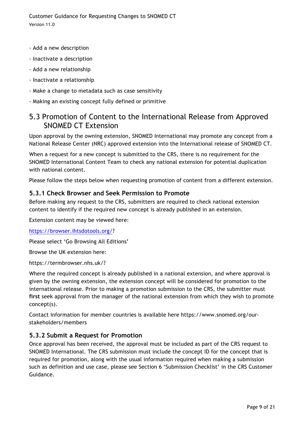- Add a new description
- Inactivate a description
- Add a new relationship
- Inactivate a relationship
- Make a change to metadata such as case sensitivity
- Making an existing concept fully defined or primitive

#### 5.3 Promotion of Content to the International Release from Approved SNOMED CT Extension

Upon approval by the owning extension, SNOMED International may promote any concept from a National Release Center (NRC) approved extension into the International release of SNOMED CT.

When a request for a new concept is submitted to the CRS, there is no requirement for the SNOMED International Content Team to check any national extension for potential duplication with national content.

Please follow the steps below when requesting promotion of content from a different extension.

#### **5.3.1 Check Browser and Seek Permission to Promote**

Before making any request to the CRS, submitters are required to check national extension content to identify if the required new concept is already published in an extension.

Extension content may be viewed here:

https://browser.ihtsdotools.org/?

Please select 'Go Browsing All Editions'

Browse the UK extension here:

https://termbrowser.nhs.uk/?

Where the required concept is already published in a national extension, and where approval is given by the owning extension, the extension concept will be considered for promotion to the international release. Prior to making a promotion submission to the CRS, the submitter must **first** seek approval from the manager of the national extension from which they wish to promote concept(s).

Contact information for member countries is available here https://www.snomed.org/ourstakeholders/members

#### **5.3.2 Submit a Request for Promotion**

Once approval has been received, the approval must be included as part of the CRS request to SNOMED International. The CRS submission must include the concept ID for the concept that is required for promotion, along with the usual information required when making a submission such as definition and use case, please see Section 6 'Submission Checklist' in the CRS Customer Guidance.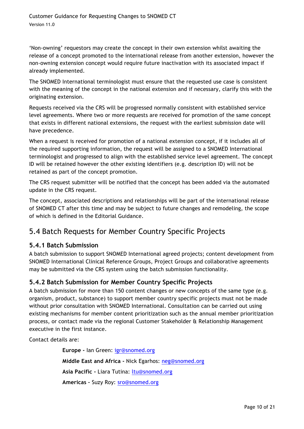'Non-owning' requestors may create the concept in their own extension whilst awaiting the release of a concept promoted to the international release from another extension, however the non-owning extension concept would require future inactivation with its associated impact if already implemented.

The SNOMED International terminologist must ensure that the requested use case is consistent with the meaning of the concept in the national extension and if necessary, clarify this with the originating extension.

Requests received via the CRS will be progressed normally consistent with established service level agreements. Where two or more requests are received for promotion of the same concept that exists in different national extensions, the request with the earliest submission date will have precedence.

When a request is received for promotion of a national extension concept, if it includes all of the required supporting information, the request will be assigned to a SNOMED International terminologist and progressed to align with the established service level agreement. The concept ID will be retained however the other existing identifiers (e.g. description ID) will not be retained as part of the concept promotion.

The CRS request submitter will be notified that the concept has been added via the automated update in the CRS request.

The concept, associated descriptions and relationships will be part of the international release of SNOMED CT after this time and may be subject to future changes and remodeling, the scope of which is defined in the Editorial Guidance.

#### 5.4 Batch Requests for Member Country Specific Projects

#### **5.4.1 Batch Submission**

A batch submission to support SNOMED International agreed projects; content development from SNOMED International Clinical Reference Groups, Project Groups and collaborative agreements may be submitted via the CRS system using the batch submission functionality.

#### **5.4.2 Batch Submission for Member Country Specific Projects**

A batch submission for more than 150 content changes or new concepts of the same type (e.g. organism, product, substance) to support member country specific projects must not be made without prior consultation with SNOMED International. Consultation can be carried out using existing mechanisms for member content prioritization such as the annual member prioritization process, or contact made via the regional Customer Stakeholder & Relationship Management executive in the first instance.

Contact details are:

**Europe -** Ian Green: igr@snomed.org **Middle East and Africa -** Nick Egarhos: neg@snomed.org **Asia Pacific -** Liara Tutina: ltu@snomed.org **Americas –** Suzy Roy: sro@snomed.org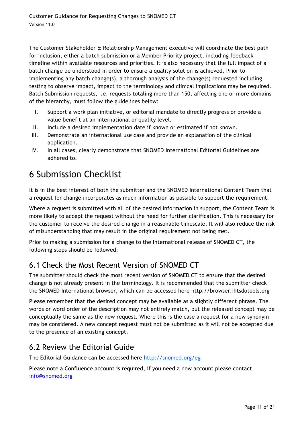The Customer Stakeholder & Relationship Management executive will coordinate the best path for inclusion, either a batch submission or a Member Priority project, including feedback timeline within available resources and priorities. It is also necessary that the full impact of a batch change be understood in order to ensure a quality solution is achieved. Prior to implementing any batch change(s), a thorough analysis of the change(s) requested including testing to observe impact, impact to the terminology and clinical implications may be required. Batch Submission requests, i.e. requests totaling more than 150, affecting one or more domains of the hierarchy, must follow the guidelines below:

- I. Support a work plan initiative, or editorial mandate to directly progress or provide a value benefit at an international or quality level.
- II. Include a desired implementation date if known or estimated if not known.
- III. Demonstrate an international use case and provide an explanation of the clinical application.
- IV. In all cases, clearly demonstrate that SNOMED International Editorial Guidelines are adhered to.

# 6 Submission Checklist

It is in the best interest of both the submitter and the SNOMED International Content Team that a request for change incorporates as much information as possible to support the requirement.

Where a request is submitted with all of the desired information in support, the Content Team is more likely to accept the request without the need for further clarification. This is necessary for the customer to receive the desired change in a reasonable timescale. It will also reduce the risk of misunderstanding that may result in the original requirement not being met.

Prior to making a submission for a change to the International release of SNOMED CT, the following steps should be followed:

### 6.1 Check the Most Recent Version of SNOMED CT

The submitter should check the most recent version of SNOMED CT to ensure that the desired change is not already present in the terminology. It is recommended that the submitter check the SNOMED International browser, which can be accessed here http://browser.ihtsdotools.org

Please remember that the desired concept may be available as a slightly different phrase. The words or word order of the description may not entirely match, but the released concept may be conceptually the same as the new request. Where this is the case a request for a new synonym may be considered. A new concept request must not be submitted as it will not be accepted due to the presence of an existing concept.

#### 6.2 Review the Editorial Guide

The Editorial Guidance can be accessed here http://snomed.org/eg

Please note a Confluence account is required, if you need a new account please contact info@snomed.org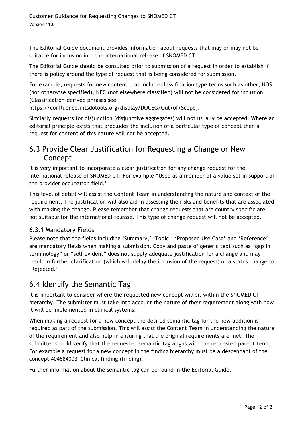The Editorial Guide document provides information about requests that may or may not be suitable for inclusion into the international release of SNOMED CT.

The Editorial Guide should be consulted prior to submission of a request in order to establish if there is policy around the type of request that is being considered for submission.

For example, requests for new content that include classification type terms such as other, NOS (not otherwise specified), NEC (not elsewhere classified) will not be considered for inclusion (Classification-derived phrases see

https://confluence.ihtsdotools.org/display/DOCEG/Out+of+Scope).

Similarly requests for disjunction (disjunctive aggregates) will not usually be accepted. Where an editorial principle exists that precludes the inclusion of a particular type of concept then a request for content of this nature will not be accepted.

#### 6.3 Provide Clear Justification for Requesting a Change or New Concept

It is very important to incorporate a clear justification for any change request for the international release of SNOMED CT. For example "Used as a member of a value set in support of the provider occupation field."

This level of detail will assist the Content Team in understanding the nature and context of the requirement. The justification will also aid in assessing the risks and benefits that are associated with making the change. Please remember that change requests that are country specific are not suitable for the international release. This type of change request will not be accepted.

#### 6.3.1 Mandatory Fields

Please note that the fields including 'Summary,' 'Topic,' 'Proposed Use Case' and 'Reference' are mandatory fields when making a submission. Copy and paste of generic text such as "gap in terminology" or "self evident" does not supply adequate justification for a change and may result in further clarification (which will delay the inclusion of the request) or a status change to 'Rejected.'

#### 6.4 Identify the Semantic Tag

It is important to consider where the requested new concept will sit within the SNOMED CT hierarchy. The submitter must take into account the nature of their requirement along with how it will be implemented in clinical systems.

When making a request for a new concept the desired semantic tag for the new addition is required as part of the submission. This will assist the Content Team in understanding the nature of the requirement and also help in ensuring that the original requirements are met. The submitter should verify that the requested semantic tag aligns with the requested parent term. For example a request for a new concept in the finding hierarchy must be a descendant of the concept 404684003|Clinical finding (finding).

Further information about the semantic tag can be found in the Editorial Guide.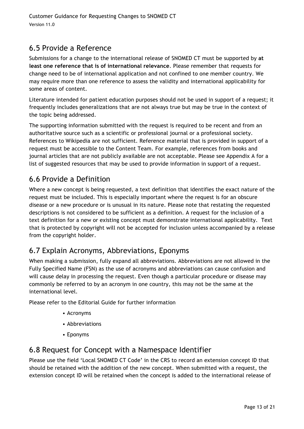### 6.5 Provide a Reference

Submissions for a change to the international release of SNOMED CT must be supported by **at least one reference that is of international relevance**. Please remember that requests for change need to be of international application and not confined to one member country. We may require more than one reference to assess the validity and international applicability for some areas of content.

Literature intended for patient education purposes should not be used in support of a request; it frequently includes generalizations that are not always true but may be true in the context of the topic being addressed.

The supporting information submitted with the request is required to be recent and from an authoritative source such as a scientific or professional journal or a professional society. References to Wikipedia are not sufficient. Reference material that is provided in support of a request must be accessible to the Content Team. For example, references from books and journal articles that are not publicly available are not acceptable. Please see Appendix A for a list of suggested resources that may be used to provide information in support of a request.

#### 6.6 Provide a Definition

Where a new concept is being requested, a text definition that identifies the exact nature of the request must be included. This is especially important where the request is for an obscure disease or a new procedure or is unusual in its nature. Please note that restating the requested descriptions is not considered to be sufficient as a definition. A request for the inclusion of a text definition for a new or existing concept must demonstrate international applicability. Text that is protected by copyright will not be accepted for inclusion unless accompanied by a release from the copyright holder.

#### 6.7 Explain Acronyms, Abbreviations, Eponyms

When making a submission, fully expand all abbreviations. Abbreviations are not allowed in the Fully Specified Name (FSN) as the use of acronyms and abbreviations can cause confusion and will cause delay in processing the request. Even though a particular procedure or disease may commonly be referred to by an acronym in one country, this may not be the same at the international level.

Please refer to the Editorial Guide for further information

- Acronyms
- Abbreviations
- Eponyms

#### 6.8 Request for Concept with a Namespace Identifier

Please use the field 'Local SNOMED CT Code' in the CRS to record an extension concept ID that should be retained with the addition of the new concept. When submitted with a request, the extension concept ID will be retained when the concept is added to the international release of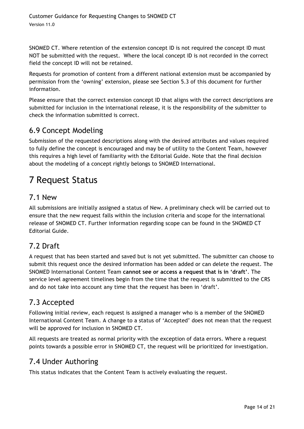SNOMED CT. Where retention of the extension concept ID is not required the concept ID must NOT be submitted with the request. Where the local concept ID is not recorded in the correct field the concept ID will not be retained.

Requests for promotion of content from a different national extension must be accompanied by permission from the 'owning' extension, please see Section 5.3 of this document for further information.

Please ensure that the correct extension concept ID that aligns with the correct descriptions are submitted for inclusion in the international release, it is the responsibility of the submitter to check the information submitted is correct.

#### 6.9 Concept Modeling

Submission of the requested descriptions along with the desired attributes and values required to fully define the concept is encouraged and may be of utility to the Content Team, however this requires a high level of familiarity with the Editorial Guide. Note that the final decision about the modeling of a concept rightly belongs to SNOMED International.

# 7 Request Status

#### 7.1 New

All submissions are initially assigned a status of New. A preliminary check will be carried out to ensure that the new request falls within the inclusion criteria and scope for the international release of SNOMED CT. Further information regarding scope can be found in the SNOMED CT Editorial Guide.

#### 7.2 Draft

A request that has been started and saved but is not yet submitted. The submitter can choose to submit this request once the desired information has been added or can delete the request. The SNOMED International Content Team **cannot see or access a request that is in 'draft'**. The service level agreement timelines begin from the time that the request is submitted to the CRS and do not take into account any time that the request has been in 'draft'.

### 7.3 Accepted

Following initial review, each request is assigned a manager who is a member of the SNOMED International Content Team. A change to a status of 'Accepted' does not mean that the request will be approved for inclusion in SNOMED CT.

All requests are treated as normal priority with the exception of data errors. Where a request points towards a possible error in SNOMED CT, the request will be prioritized for investigation.

#### 7.4 Under Authoring

This status indicates that the Content Team is actively evaluating the request.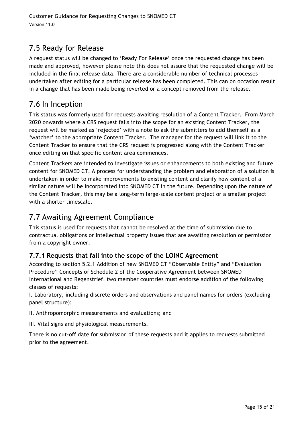### 7.5 Ready for Release

A request status will be changed to 'Ready For Release' once the requested change has been made and approved, however please note this does not assure that the requested change will be included in the final release data. There are a considerable number of technical processes undertaken after editing for a particular release has been completed. This can on occasion result in a change that has been made being reverted or a concept removed from the release.

#### 7.6 In Inception

This status was formerly used for requests awaiting resolution of a Content Tracker. From March 2020 onwards where a CRS request falls into the scope for an existing Content Tracker, the request will be marked as 'rejected' with a note to ask the submitters to add themself as a 'watcher' to the appropriate Content Tracker. The manager for the request will link it to the Content Tracker to ensure that the CRS request is progressed along with the Content Tracker once editing on that specific content area commences.

Content Trackers are intended to investigate issues or enhancements to both existing and future content for SNOMED CT. A process for understanding the problem and elaboration of a solution is undertaken in order to make improvements to existing content and clarify how content of a similar nature will be incorporated into SNOMED CT in the future. Depending upon the nature of the Content Tracker, this may be a long-term large-scale content project or a smaller project with a shorter timescale.

#### 7.7 Awaiting Agreement Compliance

This status is used for requests that cannot be resolved at the time of submission due to contractual obligations or intellectual property issues that are awaiting resolution or permission from a copyright owner.

#### **7.7.1 Requests that fall into the scope of the LOINC Agreement**

According to section 5.2.1 Addition of new SNOMED CT "Observable Entity" and "Evaluation Procedure" Concepts of Schedule 2 of the Cooperative Agreement between SNOMED International and Regenstrief, two member countries must endorse addition of the following classes of requests:

I. Laboratory, including discrete orders and observations and panel names for orders (excluding panel structure);

II. Anthropomorphic measurements and evaluations; and

III. Vital signs and physiological measurements.

There is no cut-off date for submission of these requests and it applies to requests submitted prior to the agreement.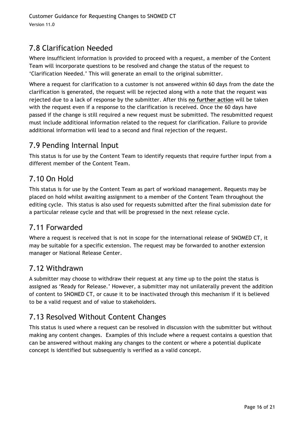# 7.8 Clarification Needed

Where insufficient information is provided to proceed with a request, a member of the Content Team will incorporate questions to be resolved and change the status of the request to 'Clarification Needed.' This will generate an email to the original submitter.

Where a request for clarification to a customer is not answered within 60 days from the date the clarification is generated, the request will be rejected along with a note that the request was rejected due to a lack of response by the submitter. After this **no further action** will be taken with the request even if a response to the clarification is received. Once the 60 days have passed if the change is still required a new request must be submitted. The resubmitted request must include additional information related to the request for clarification. Failure to provide additional information will lead to a second and final rejection of the request.

### 7.9 Pending Internal Input

This status is for use by the Content Team to identify requests that require further input from a different member of the Content Team.

### 7.10 On Hold

This status is for use by the Content Team as part of workload management. Requests may be placed on hold whilst awaiting assignment to a member of the Content Team throughout the editing cycle. This status is also used for requests submitted after the final submission date for a particular release cycle and that will be progressed in the next release cycle.

### 7.11 Forwarded

Where a request is received that is not in scope for the international release of SNOMED CT, it may be suitable for a specific extension. The request may be forwarded to another extension manager or National Release Center.

#### 7.12 Withdrawn

A submitter may choose to withdraw their request at any time up to the point the status is assigned as 'Ready for Release.' However, a submitter may not unilaterally prevent the addition of content to SNOMED CT, or cause it to be inactivated through this mechanism if it is believed to be a valid request and of value to stakeholders.

# 7.13 Resolved Without Content Changes

This status is used where a request can be resolved in discussion with the submitter but without making any content changes. Examples of this include where a request contains a question that can be answered without making any changes to the content or where a potential duplicate concept is identified but subsequently is verified as a valid concept.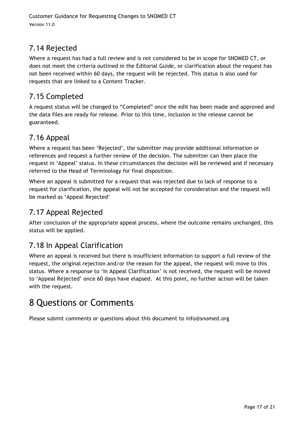## 7.14 Rejected

Where a request has had a full review and is not considered to be in scope for SNOMED CT, or does not meet the criteria outlined in the Editorial Guide, or clarification about the request has not been received within 60 days, the request will be rejected. This status is also used for requests that are linked to a Content Tracker.

#### 7.15 Completed

A request status will be changed to "Completed" once the edit has been made and approved and the data files are ready for release. Prior to this time, inclusion in the release cannot be guaranteed.

#### 7.16 Appeal

Where a request has been 'Rejected', the submitter may provide additional information or references and request a further review of the decision. The submitter can then place the request in 'Appeal' status. In these circumstances the decision will be reviewed and if necessary referred to the Head of Terminology for final disposition.

Where an appeal is submitted for a request that was rejected due to lack of response to a request for clarification, the appeal will not be accepted for consideration and the request will be marked as 'Appeal Rejected'

### 7.17 Appeal Rejected

After conclusion of the appropriate appeal process, where the outcome remains unchanged, this status will be applied.

### 7.18 In Appeal Clarification

Where an appeal is received but there is insufficient information to support a full review of the request, the original rejection and/or the reason for the appeal, the request will move to this status. Where a response to 'In Appeal Clarification' is not received, the request will be moved to 'Appeal Rejected' once 60 days have elapsed. At this point, no further action will be taken with the request.

# 8 Questions or Comments

Please submit comments or questions about this document to info@snomed.org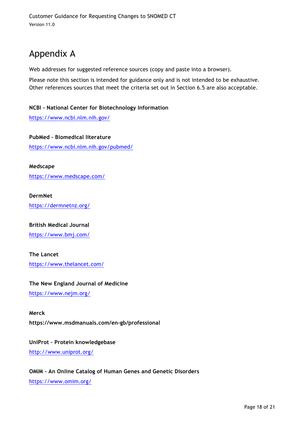# Appendix A

Web addresses for suggested reference sources (copy and paste into a browser).

Please note this section is intended for guidance only and is not intended to be exhaustive. Other references sources that meet the criteria set out in Section 6.5 are also acceptable.

#### **NCBI - National Center for Biotechnology Information**

https://www.ncbi.nlm.nih.gov/

**PubMed – Biomedical literature** https://www.ncbi.nlm.nih.gov/pubmed/

**Medscape** https://www.medscape.com/

**DermNet** https://dermnetnz.org/

**British Medical Journal** https://www.bmj.com/

**The Lancet** https://www.thelancet.com/

**The New England Journal of Medicine** https://www.nejm.org/

**Merck https://www.msdmanuals.com/en-gb/professional**

**UniProt – Protein knowledgebase**

http://www.uniprot.org/

**OMIM - An Online Catalog of Human Genes and Genetic Disorders** https://www.omim.org/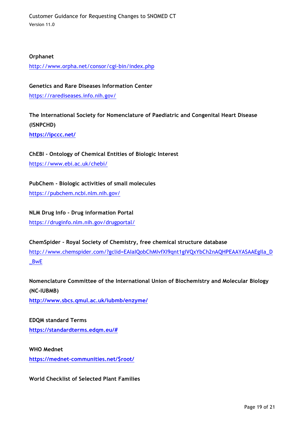#### **Orphanet**

http://www.orpha.net/consor/cgi-bin/index.php

**Genetics and Rare Diseases Information Center** https://rarediseases.info.nih.gov/

**The International Society for Nomenclature of Paediatric and Congenital Heart Disease (ISNPCHD)**

**https://ipccc.net/**

**ChEBI - Ontology of Chemical Entities of Biologic Interest**

https://www.ebi.ac.uk/chebi/

**PubChem - Biologic activities of small molecules**

https://pubchem.ncbi.nlm.nih.gov/

**NLM Drug Info - Drug information Portal**

https://druginfo.nlm.nih.gov/drugportal/

**ChemSpider - Royal Society of Chemistry, free chemical structure database** http://www.chemspider.com/?gclid=EAIaIQobChMIvfXI9qnt1gIVQxYbCh2nAQHPEAAYASAAEgIla\_D \_BwE

**Nomenclature Committee of the International Union of Biochemistry and Molecular Biology (NC-IUBMB)**

**http://www.sbcs.qmul.ac.uk/iubmb/enzyme/**

**EDQM standard Terms https://standardterms.edqm.eu/#**

**WHO Mednet https://mednet-communities.net/\$root/**

**World Checklist of Selected Plant Families**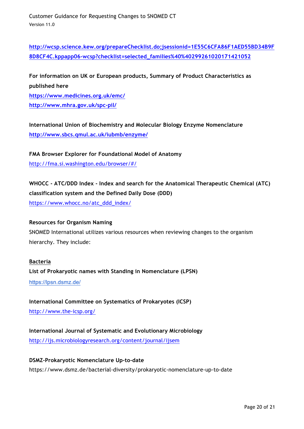**http://wcsp.science.kew.org/prepareChecklist.do;jsessionid=1E55C6CFA86F1AED55BD34B9F 8D8CF4C.kppapp06-wcsp?checklist=selected\_families%40%40299261020171421052**

**For information on UK or European products, Summary of Product Characteristics as published here https://www.medicines.org.uk/emc/ http://www.mhra.gov.uk/spc-pil/**

**International Union of Biochemistry and Molecular Biology Enzyme Nomenclature http://www.sbcs.qmul.ac.uk/iubmb/enzyme/**

**FMA Browser Explorer for Foundational Model of Anatomy** http://fma.si.washington.edu/browser/#/

**WHOCC - ATC/DDD Index - Index and search for the Anatomical Therapeutic Chemical (ATC) classification system and the Defined Daily Dose (DDD)**

https://www.whocc.no/atc\_ddd\_index/

#### **Resources for Organism Naming**

SNOMED International utilizes various resources when reviewing changes to the organism hierarchy. They include:

#### **Bacteria**

**List of Prokaryotic names with Standing in Nomenclature (LPSN)**

https://lpsn.dsmz.de/

**International Committee on Systematics of Prokaryotes (ICSP)** http://www.the-icsp.org/

**International Journal of Systematic and Evolutionary Microbiology**

http://ijs.microbiologyresearch.org/content/journal/ijsem

#### **DSMZ-Prokaryotic Nomenclature Up-to-date**

https://www.dsmz.de/bacterial-diversity/prokaryotic-nomenclature-up-to-date